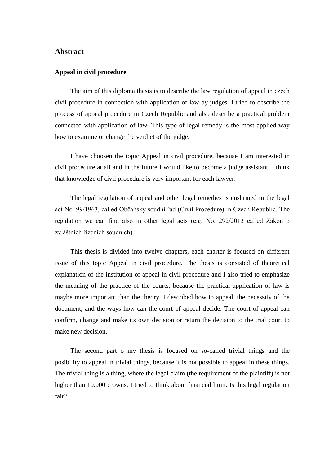## **Abstract**

## **Appeal in civil procedure**

The aim of this diploma thesis is to describe the law regulation of appeal in czech civil procedure in connection with application of law by judges. I tried to describe the process of appeal procedure in Czech Republic and also describe a practical problem connected with application of law. This type of legal remedy is the most applied way how to examine or change the verdict of the judge.

I have choosen the topic Appeal in civil procedure, because I am interested in civil procedure at all and in the future I would like to become a judge assistant. I think that knowledge of civil procedure is very important for each lawyer.

The legal regulation of appeal and other legal remedies is enshrined in the legal act No. 99/1963, called Občanský soudní řád (Civil Procedure) in Czech Republic. The regulation we can find also in other legal acts (e.g. No. 292/2013 called Zákon o zvláštních řízeních soudních).

This thesis is divided into twelve chapters, each charter is focused on different issue of this topic Appeal in civil procedure. The thesis is consisted of theoretical explanation of the institution of appeal in civil procedure and I also tried to emphasize the meaning of the practice of the courts, because the practical application of law is maybe more important than the theory. I described how to appeal, the necessity of the document, and the ways how can the court of appeal decide. The court of appeal can confirm, change and make its own decision or return the decision to the trial court to make new decision.

The second part o my thesis is focused on so-called trivial things and the posibility to appeal in trivial things, because it is not possible to appeal in these things. The trivial thing is a thing, where the legal claim (the requirement of the plaintiff) is not higher than 10.000 crowns. I tried to think about financial limit. Is this legal regulation fair?